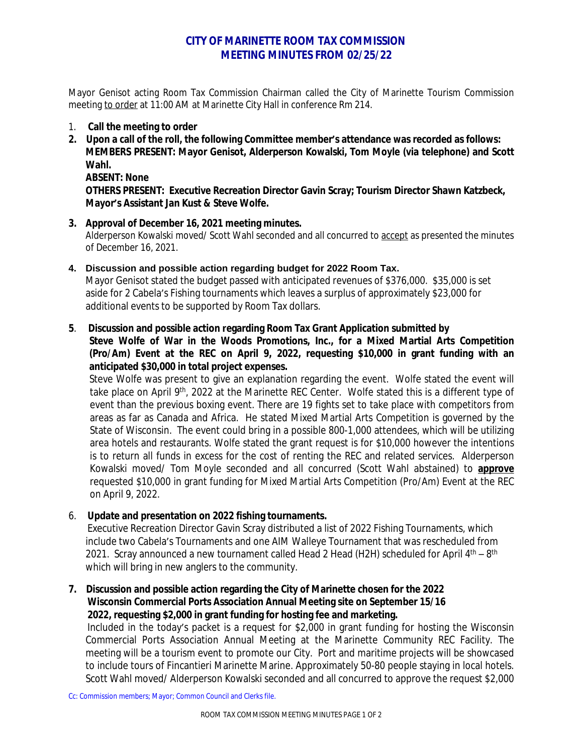# **CITY OF MARINETTE ROOM TAX COMMISSION MEETING MINUTES FROM 02/25/22**

Mayor Genisot acting Room Tax Commission Chairman called the City of Marinette Tourism Commission meeting to order at 11:00 AM at Marinette City Hall in conference Rm 214.

- 1. **Call the meeting to order**
- **2. Upon a call of the roll, the following Committee member's attendance was recorded as follows: MEMBERS PRESENT: Mayor Genisot, Alderperson Kowalski, Tom Moyle (via telephone) and Scott Wahl.**

**ABSENT: None**

**OTHERS PRESENT: Executive Recreation Director Gavin Scray; Tourism Director Shawn Katzbeck, Mayor's Assistant Jan Kust & Steve Wolfe.**

**3. Approval of December 16, 2021 meeting minutes.** Alderperson Kowalski moved/ Scott Wahl seconded and all concurred to accept as presented the minutes of December 16, 2021.

**4. Discussion and possible action regarding budget for 2022 Room Tax.**

Mayor Genisot stated the budget passed with anticipated revenues of \$376,000. \$35,000 is set aside for 2 Cabela's Fishing tournaments which leaves a surplus of approximately \$23,000 for additional events to be supported by Room Tax dollars.

#### **5**. **Discussion and possible action regarding Room Tax Grant Application submitted by Steve Wolfe of War in the Woods Promotions, Inc., for a Mixed Martial Arts Competition (Pro/Am) Event at the REC on April 9, 2022, requesting \$10,000 in grant funding with an anticipated \$30,000 in total project expenses.**

Steve Wolfe was present to give an explanation regarding the event. Wolfe stated the event will take place on April 9<sup>th</sup>, 2022 at the Marinette REC Center. Wolfe stated this is a different type of event than the previous boxing event. There are 19 fights set to take place with competitors from areas as far as Canada and Africa. He stated Mixed Martial Arts Competition is governed by the State of Wisconsin. The event could bring in a possible 800-1,000 attendees, which will be utilizing area hotels and restaurants. Wolfe stated the grant request is for \$10,000 however the intentions is to return all funds in excess for the cost of renting the REC and related services. Alderperson Kowalski moved/ Tom Moyle seconded and all concurred (Scott Wahl abstained) to **approve** requested \$10,000 in grant funding for Mixed Martial Arts Competition (Pro/Am) Event at the REC on April 9, 2022.

### 6. **Update and presentation on 2022 fishing tournaments.**

 Executive Recreation Director Gavin Scray distributed a list of 2022 Fishing Tournaments, which include two Cabela's Tournaments and one AIM Walleye Tournament that was rescheduled from 2021. Scray announced a new tournament called Head 2 Head (H2H) scheduled for April  $4<sup>th</sup> - 8<sup>th</sup>$ which will bring in new anglers to the community.

## **7. Discussion and possible action regarding the City of Marinette chosen for the 2022 Wisconsin Commercial Ports Association Annual Meeting site on September 15/16 2022, requesting \$2,000 in grant funding for hosting fee and marketing.**

Included in the today's packet is a request for \$2,000 in grant funding for hosting the Wisconsin Commercial Ports Association Annual Meeting at the Marinette Community REC Facility. The meeting will be a tourism event to promote our City. Port and maritime projects will be showcased to include tours of Fincantieri Marinette Marine. Approximately 50-80 people staying in local hotels. Scott Wahl moved/ Alderperson Kowalski seconded and all concurred to approve the request \$2,000

Cc: Commission members; Mayor; Common Council and Clerks file.